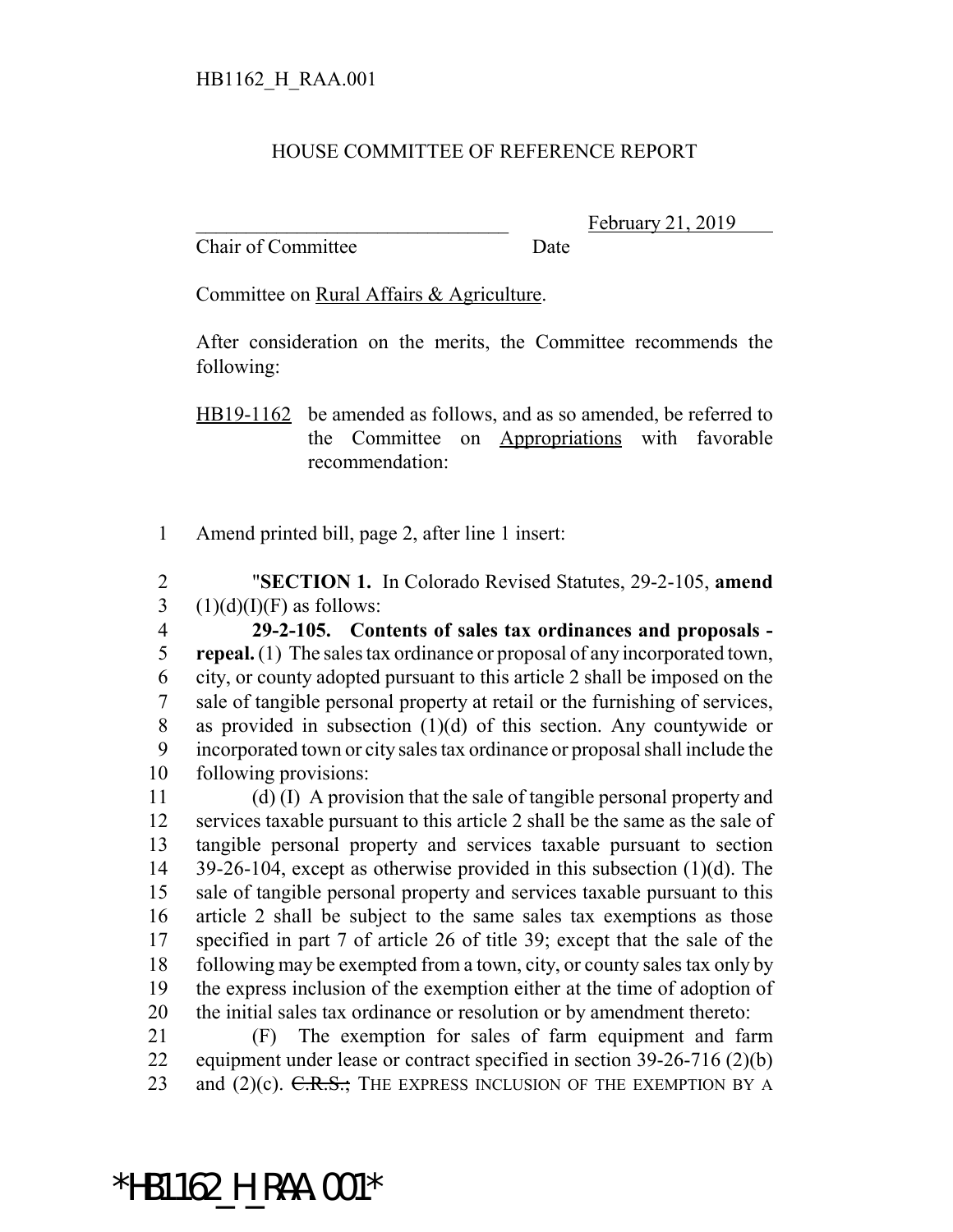## HOUSE COMMITTEE OF REFERENCE REPORT

Chair of Committee Date

February 21, 2019

Committee on Rural Affairs & Agriculture.

After consideration on the merits, the Committee recommends the following:

HB19-1162 be amended as follows, and as so amended, be referred to the Committee on Appropriations with favorable recommendation:

Amend printed bill, page 2, after line 1 insert:

 "**SECTION 1.** In Colorado Revised Statutes, 29-2-105, **amend** 3  $(1)(d)(I)(F)$  as follows:

 **29-2-105. Contents of sales tax ordinances and proposals - repeal.** (1) The sales tax ordinance or proposal of any incorporated town, city, or county adopted pursuant to this article 2 shall be imposed on the sale of tangible personal property at retail or the furnishing of services, as provided in subsection (1)(d) of this section. Any countywide or incorporated town or city sales tax ordinance or proposal shall include the following provisions:

 (d) (I) A provision that the sale of tangible personal property and services taxable pursuant to this article 2 shall be the same as the sale of tangible personal property and services taxable pursuant to section 39-26-104, except as otherwise provided in this subsection (1)(d). The sale of tangible personal property and services taxable pursuant to this article 2 shall be subject to the same sales tax exemptions as those specified in part 7 of article 26 of title 39; except that the sale of the following may be exempted from a town, city, or county sales tax only by the express inclusion of the exemption either at the time of adoption of the initial sales tax ordinance or resolution or by amendment thereto:

 (F) The exemption for sales of farm equipment and farm equipment under lease or contract specified in section 39-26-716 (2)(b) 23 and  $(2)(c)$ . C.R.S.; THE EXPRESS INCLUSION OF THE EXEMPTION BY A

## \*HB1162\_H\_RAA.001\*